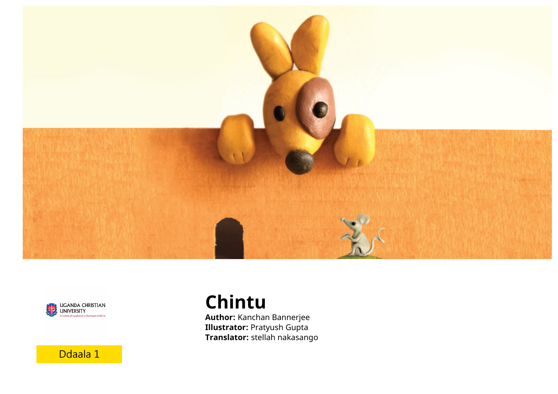



Ddaala 1

**Chintu**

**Author:** Kanchan Bannerjee **Illustrator:** Pratyush Gupta **Translator:** stellah nakasango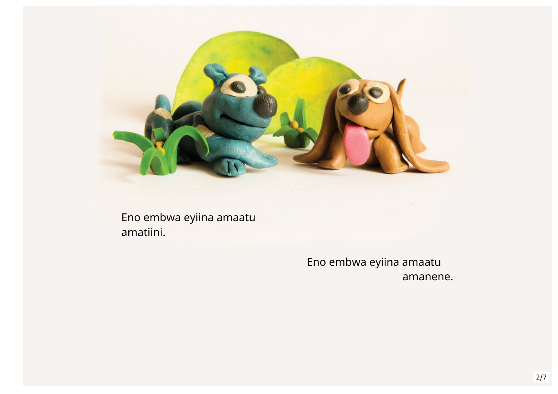

Eno embwa eyiina amaatu amatiini.

> Eno embwa eyiina amaatu amanene.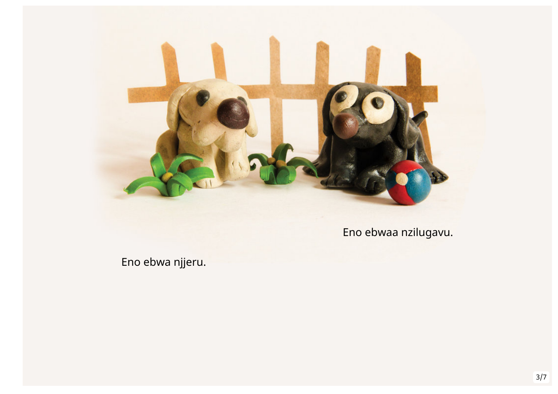

Eno ebwaa nzilugavu.

Eno ebwa njjeru.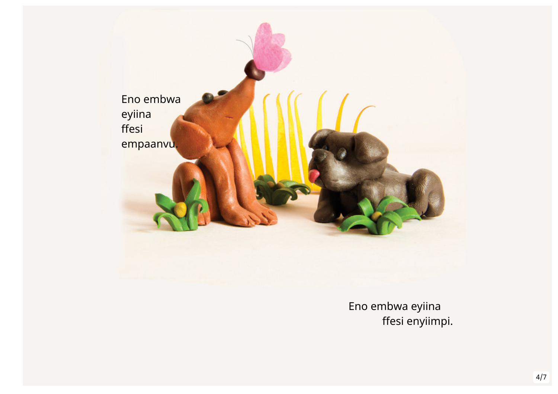

Eno embwa eyiina ffesi enyiimpi.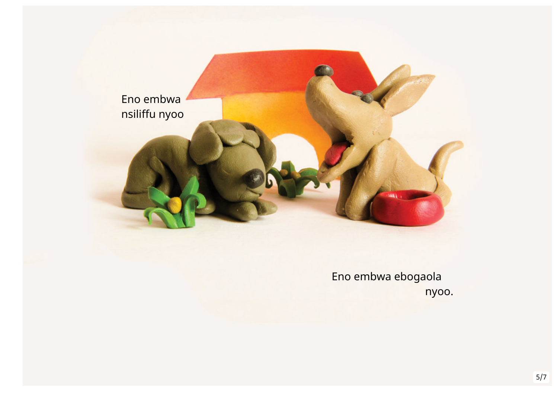

Eno embwa ebogaola nyoo.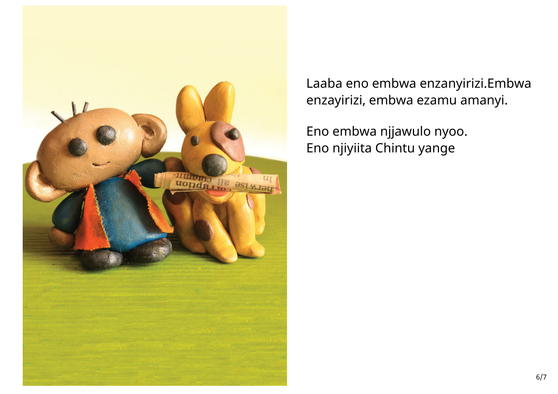

Laaba eno embwa enzanyirizi.Embwa enzayirizi, embwa ezamu amanyi.

Eno embwa njjawulo nyoo. Eno njiyiita Chintu yange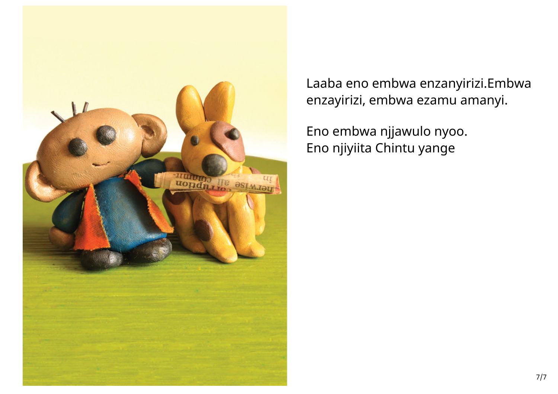

Laaba eno embwa enzanyirizi.Embwa enzayirizi, embwa ezamu amanyi.

Eno embwa njjawulo nyoo. Eno njiyiita Chintu yange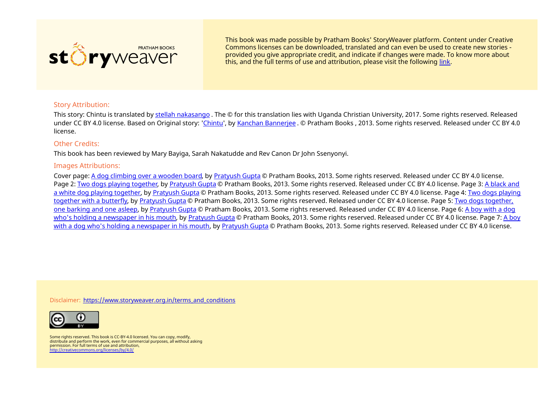

This book was made possible by Pratham Books' StoryWeaver platform. Content under Creative Commons licenses can be downloaded, translated and can even be used to create new stories ‐ provided you give appropriate credit, and indicate if changes were made. To know more about this, and the full terms of use and attribution, please visit the following [link](https://storyweaver.org.in/terms_and_conditions).

## Story Attribution:

This story: Chintu is translated by stellah [nakasango](https://storyweaver.org.in/users/15586-stellah-nakasango) . The © for this translation lies with Uganda Christian University, 2017. Some rights reserved. Released under CC BY 4.0 license. Based on Original story: '[Chintu](https://storyweaver.org.in/stories/12756-chintu)', by Kanchan [Bannerjee](https://storyweaver.org.in/users/302-kanchan-bannerjee) . © Pratham Books , 2013. Some rights reserved. Released under CC BY 4.0 license.

## Other Credits:

This book has been reviewed by Mary Bayiga, Sarah Nakatudde and Rev Canon Dr John Ssenyonyi.

## Images Attributions:

Cover page: A dog [climbing](https://storyweaver.org.in/illustrations/5938-a-dog-climbing-over-a-wooden-board) over a wooden board, by [Pratyush](https://storyweaver.org.in/users/14010-pratyush-gupta) Gupta © Pratham Books, 2013. Some rights reserved. Released under CC BY 4.0 license. Page 2: Two dogs playing [together](https://storyweaver.org.in/illustrations/5933-two-dogs-playing-together), by [Pratyush](https://storyweaver.org.in/users/14010-pratyush-gupta) Gupta © Pratham Books, 2013. Some rights reserved. Released under CC BY 4.0 license. Page 3: A black and a white dog playing together, by [Pratyush](https://storyweaver.org.in/users/14010-pratyush-gupta) Gupta © Pratham Books, 2013. Some rights [reserved.](https://storyweaver.org.in/illustrations/5935-a-black-and-a-white-dog-playing-together) Released under CC BY 4.0 license. Page 4: Two dogs playing together with a butterfly, by [Pratyush](https://storyweaver.org.in/users/14010-pratyush-gupta) Gupta © Pratham Books, 2013. Some rights [reserved.](https://storyweaver.org.in/illustrations/5936-two-dogs-together-one-barking-and-one-asleep) Released under CC BY 4.0 license. Page 5: Two dogs together, one barking and one asleep, by [Pratyush](https://storyweaver.org.in/users/14010-pratyush-gupta) Gupta © Pratham Books, 2013. Some rights reserved. Released under CC BY 4.0 license. Page 6: A boy with a dog who's holding a [newspaper](https://storyweaver.org.in/illustrations/5937-a-boy-with-a-dog-who-s-holding-a-newspaper-in-his-mouth) in his mouth, by [Pratyush](https://storyweaver.org.in/users/14010-pratyush-gupta) Gupta © Pratham Books, 2013. Some rights reserved. Released under CC BY 4.0 license. Page 7: A boy with a dog who's holding a [newspaper](https://storyweaver.org.in/illustrations/5937-a-boy-with-a-dog-who-s-holding-a-newspaper-in-his-mouth) in his mouth, by [Pratyush](https://storyweaver.org.in/users/14010-pratyush-gupta) Gupta © Pratham Books, 2013. Some rights reserved. Released under CC BY 4.0 license.

Disclaimer: [https://www.storyweaver.org.in/terms\\_and\\_conditions](https://storyweaver.org.in/terms_and_conditions)



Some rights reserved. This book is CC-BY-4.0 licensed. You can copy, modify, distribute and perform the work, even for commercial purposes, all without asking permission. For full terms of use and attribution, <http://creativecommons.org/licenses/by/4.0/>